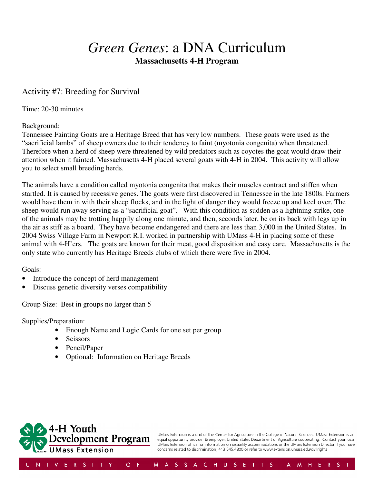# *Green Genes*: a DNA Curriculum **Massachusetts 4-H Program**

### Activity #7: Breeding for Survival

Time: 20-30 minutes

#### Background:

Tennessee Fainting Goats are a Heritage Breed that has very low numbers. These goats were used as the "sacrificial lambs" of sheep owners due to their tendency to faint (myotonia congenita) when threatened. Therefore when a herd of sheep were threatened by wild predators such as coyotes the goat would draw their attention when it fainted. Massachusetts 4-H placed several goats with 4-H in 2004. This activity will allow you to select small breeding herds.

The animals have a condition called myotonia congenita that makes their muscles contract and stiffen when startled. It is caused by recessive genes. The goats were first discovered in Tennessee in the late 1800s. Farmers would have them in with their sheep flocks, and in the light of danger they would freeze up and keel over. The sheep would run away serving as a "sacrificial goat". With this condition as sudden as a lightning strike, one of the animals may be trotting happily along one minute, and then, seconds later, be on its back with legs up in the air as stiff as a board. They have become endangered and there are less than 3,000 in the United States. In 2004 Swiss Village Farm in Newport R.I. worked in partnership with UMass 4-H in placing some of these animal with 4-H'ers. The goats are known for their meat, good disposition and easy care. Massachusetts is the only state who currently has Heritage Breeds clubs of which there were five in 2004.

Goals:

- Introduce the concept of herd management
- Discuss genetic diversity verses compatibility

Group Size: Best in groups no larger than 5

Supplies/Preparation:

- Enough Name and Logic Cards for one set per group
- Scissors
- Pencil/Paper
- Optional: Information on Heritage Breeds



UMass Extension is a unit of the Center for Agriculture in the College of Natural Sciences. UMass Extension is an equal opportunity provider & employer, United States Department of Agriculture cooperating. Contact your local UMass Extension office for information on disability accommodations or the UMass Extension Director if you have concerns related to discrimination, 413.545.4800 or refer to www.extension.umass.edu/civilrights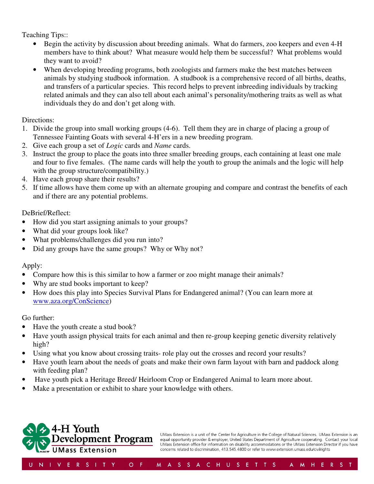Teaching Tips::

- Begin the activity by discussion about breeding animals. What do farmers, zoo keepers and even 4-H members have to think about? What measure would help them be successful? What problems would they want to avoid?
- When developing breeding programs, both zoologists and farmers make the best matches between animals by studying studbook information. A studbook is a comprehensive record of all births, deaths, and transfers of a particular species. This record helps to prevent inbreeding individuals by tracking related animals and they can also tell about each animal's personality/mothering traits as well as what individuals they do and don't get along with.

Directions:

- 1. Divide the group into small working groups (4-6). Tell them they are in charge of placing a group of Tennessee Fainting Goats with several 4-H'ers in a new breeding program.
- 2. Give each group a set of *Logic* cards and *Name* cards.
- 3. Instruct the group to place the goats into three smaller breeding groups, each containing at least one male and four to five females. (The name cards will help the youth to group the animals and the logic will help with the group structure/compatibility.)
- 4. Have each group share their results?
- 5. If time allows have them come up with an alternate grouping and compare and contrast the benefits of each and if there are any potential problems.

DeBrief/Reflect:

- How did you start assigning animals to your groups?
- What did your groups look like?
- What problems/challenges did you run into?
- Did any groups have the same groups? Why or Why not?

#### Apply:

- Compare how this is this similar to how a farmer or zoo might manage their animals?
- Why are stud books important to keep?
- How does this play into Species Survival Plans for Endangered animal? (You can learn more at www.aza.org/ConScience)

#### Go further:

- Have the youth create a stud book?
- Have youth assign physical traits for each animal and then re-group keeping genetic diversity relatively high?
- Using what you know about crossing traits- role play out the crosses and record your results?
- Have youth learn about the needs of goats and make their own farm layout with barn and paddock along with feeding plan?
- Have youth pick a Heritage Breed/ Heirloom Crop or Endangered Animal to learn more about.
- Make a presentation or exhibit to share your knowledge with others.



UMass Extension is a unit of the Center for Agriculture in the College of Natural Sciences. UMass Extension is an equal opportunity provider & employer, United States Department of Agriculture cooperating. Contact your local UMass Extension office for information on disability accommodations or the UMass Extension Director if you have concerns related to discrimination, 413.545.4800 or refer to www.extension.umass.edu/civilrights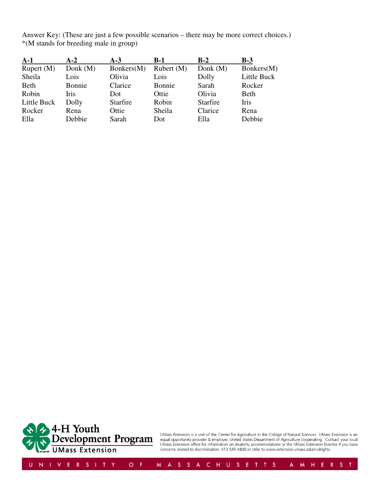Answer Key: (These are just a few possible scenarios – there may be more correct choices.) \*(M stands for breeding male in group)

| $A-1$        | $A-2$       | $A-3$           | <b>B-1</b>   | $B-2$           | $B-3$       |
|--------------|-------------|-----------------|--------------|-----------------|-------------|
| Rupert $(M)$ | Donk $(M)$  | Bonkers(M)      | Rubert $(M)$ | Donk $(M)$      | Bonkers(M)  |
| Sheila       | Lois        | Olivia          | Lois         | Dolly           | Little Buck |
| <b>Beth</b>  | Bonnie      | Clarice         | Bonnie       | Sarah           | Rocker      |
| Robin        | <b>Iris</b> | Dot             | Ottie        | Olivia          | <b>Beth</b> |
| Little Buck  | Dolly       | <b>Starfire</b> | Robin        | <b>Starfire</b> | Iris        |
| Rocker       | Rena        | Ottie           | Sheila       | Clarice         | Rena        |
| Ella         | Debbie      | Sarah           | Dot          | Ella            | Debbie      |



UMass Extension is a unit of the Center for Agriculture in the College of Natural Sciences. UMass Extension is an<br>equal opportunity provider & employer, United States Department of Agriculture cooperating. Contact your loc

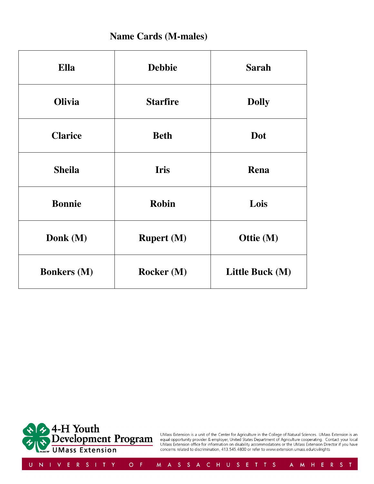### **Name Cards (M-males)**

| Ella               | <b>Debbie</b>     | <b>Sarah</b>    |
|--------------------|-------------------|-----------------|
| <b>Olivia</b>      | <b>Starfire</b>   | <b>Dolly</b>    |
| <b>Clarice</b>     | <b>Beth</b>       | Dot             |
| <b>Sheila</b>      | <b>Iris</b>       | Rena            |
| <b>Bonnie</b>      | <b>Robin</b>      | Lois            |
| Donk (M)           | <b>Rupert</b> (M) | Ottie (M)       |
| <b>Bonkers</b> (M) | Rocker (M)        | Little Buck (M) |



UMass Extension is a unit of the Center for Agriculture in the College of Natural Sciences. UMass Extension is an<br>equal opportunity provider & employer, United States Department of Agriculture cooperating. Contact your loc